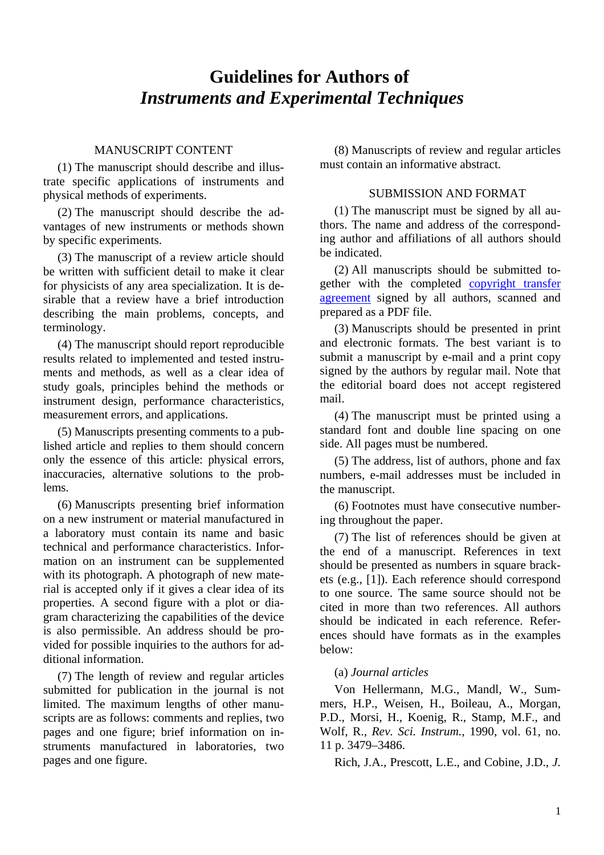# **Guidelines for Authors of**  *Instruments and Experimental Techniques*

## MANUSCRIPT CONTENT

(1) The manuscript should describe and illustrate specific applications of instruments and physical methods of experiments.

(2) The manuscript should describe the advantages of new instruments or methods shown by specific experiments.

(3) The manuscript of a review article should be written with sufficient detail to make it clear for physicists of any area specialization. It is desirable that a review have a brief introduction describing the main problems, concepts, and terminology.

(4) The manuscript should report reproducible results related to implemented and tested instruments and methods, as well as a clear idea of study goals, principles behind the methods or instrument design, performance characteristics, measurement errors, and applications.

(5) Manuscripts presenting comments to a published article and replies to them should concern only the essence of this article: physical errors, inaccuracies, alternative solutions to the problems.

(6) Manuscripts presenting brief information on a new instrument or material manufactured in a laboratory must contain its name and basic technical and performance characteristics. Information on an instrument can be supplemented with its photograph. A photograph of new material is accepted only if it gives a clear idea of its properties. A second figure with a plot or diagram characterizing the capabilities of the device is also permissible. An address should be provided for possible inquiries to the authors for additional information.

(7) The length of review and regular articles submitted for publication in the journal is not limited. The maximum lengths of other manuscripts are as follows: comments and replies, two pages and one figure; brief information on instruments manufactured in laboratories, two pages and one figure.

(8) Manuscripts of review and regular articles must contain an informative abstract.

## SUBMISSION AND FORMAT

(1) The manuscript must be signed by all authors. The name and address of the corresponding author and affiliations of all authors should be indicated.

(2) All manuscripts should be submitted together with the completed copyright transfer agreement signed by all authors, scanned and prepared as a PDF file.

(3) Manuscripts should be presented in print and electronic formats. The best variant is to submit a manuscript by e-mail and a print copy signed by the authors by regular mail. Note that the editorial board does not accept registered mail.

(4) The manuscript must be printed using a standard font and double line spacing on one side. All pages must be numbered.

(5) The address, list of authors, phone and fax numbers, e-mail addresses must be included in the manuscript.

(6) Footnotes must have consecutive numbering throughout the paper.

(7) The list of references should be given at the end of a manuscript. References in text should be presented as numbers in square brackets (e.g., [1]). Each reference should correspond to one source. The same source should not be cited in more than two references. All authors should be indicated in each reference. References should have formats as in the examples below:

# (a) *Journal articles*

Von Hellermann, M.G., Mandl, W., Summers, H.P., Weisen, H., Boileau, A., Morgan, P.D., Morsi, H., Koenig, R., Stamp, M.F., and Wolf, R., *Rev. Sci. Instrum.,* 1990, vol. 61, no. 11 p. 3479–3486.

Rich, J.A., Prescott, L.E., and Cobine, J.D., *J.*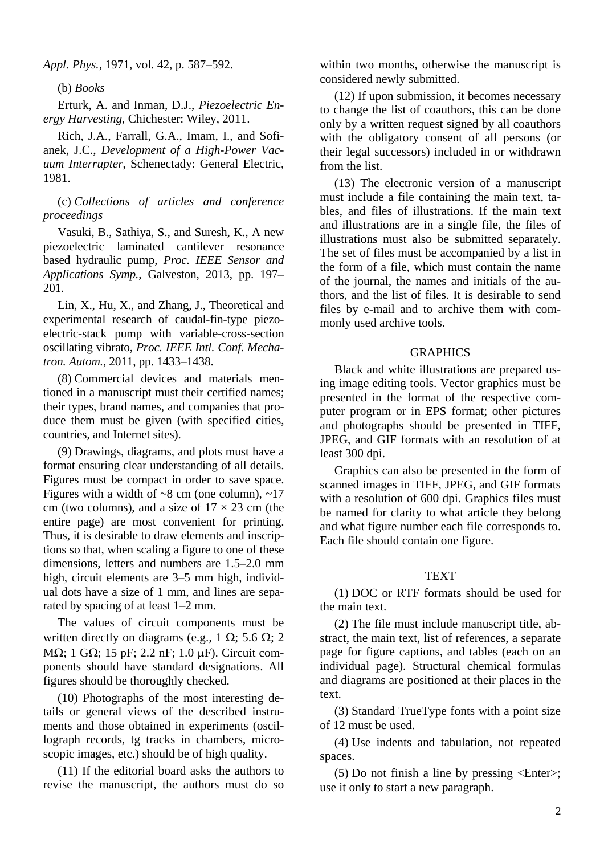*Appl. Phys.,* 1971, vol. 42, p. 587–592.

(b) *Books*

Erturk, A. and Inman, D.J., *Piezoelectric Energy Harvesting*, Chichester: Wiley, 2011.

Rich, J.A., Farrall, G.A., Imam, I., and Sofianek, J.C., *Development of a High-Power Vacuum Interrupter*, Schenectady: General Electric, 1981.

(c) *Collections of articles and conference proceedings*

Vasuki, B., Sathiya, S., and Suresh, K., A new piezoelectric laminated cantilever resonance based hydraulic pump, *Proc. IEEE Sensor and Applications Symp.*, Galveston, 2013, pp. 197– 201.

Lin, X., Hu, X., and Zhang, J., Theoretical and experimental research of caudal-fin-type piezoelectric-stack pump with variable-cross-section oscillating vibrato, *Proc. IEEE Intl. Conf. Mechatron. Autom.,* 2011, pp. 1433–1438.

(8) Commercial devices and materials mentioned in a manuscript must their certified names; their types, brand names, and companies that produce them must be given (with specified cities, countries, and Internet sites).

(9) Drawings, diagrams, and plots must have a format ensuring clear understanding of all details. Figures must be compact in order to save space. Figures with a width of  $\sim 8$  cm (one column),  $\sim 17$ cm (two columns), and a size of  $17 \times 23$  cm (the entire page) are most convenient for printing. Thus, it is desirable to draw elements and inscriptions so that, when scaling a figure to one of these dimensions, letters and numbers are 1.5–2.0 mm high, circuit elements are 3–5 mm high, individual dots have a size of 1 mm, and lines are separated by spacing of at least 1–2 mm.

The values of circuit components must be written directly on diagrams (e.g., 1  $\Omega$ ; 5.6  $\Omega$ ; 2 M $\Omega$ : 1 G $\Omega$ : 15 pF: 2.2 nF: 1.0 uF). Circuit components should have standard designations. All figures should be thoroughly checked.

(10) Photographs of the most interesting details or general views of the described instruments and those obtained in experiments (oscillograph records, tg tracks in chambers, microscopic images, etc.) should be of high quality.

(11) If the editorial board asks the authors to revise the manuscript, the authors must do so within two months, otherwise the manuscript is considered newly submitted.

(12) If upon submission, it becomes necessary to change the list of coauthors, this can be done only by a written request signed by all coauthors with the obligatory consent of all persons (or their legal successors) included in or withdrawn from the list.

(13) The electronic version of a manuscript must include a file containing the main text, tables, and files of illustrations. If the main text and illustrations are in a single file, the files of illustrations must also be submitted separately. The set of files must be accompanied by a list in the form of a file, which must contain the name of the journal, the names and initials of the authors, and the list of files. It is desirable to send files by e-mail and to archive them with commonly used archive tools.

### **GRAPHICS**

Black and white illustrations are prepared using image editing tools. Vector graphics must be presented in the format of the respective computer program or in EPS format; other pictures and photographs should be presented in TIFF, JPEG, and GIF formats with an resolution of at least 300 dpi.

Graphics can also be presented in the form of scanned images in TIFF, JPEG, and GIF formats with a resolution of 600 dpi. Graphics files must be named for clarity to what article they belong and what figure number each file corresponds to. Each file should contain one figure.

#### **TEXT**

(1) DOC or RTF formats should be used for the main text.

(2) The file must include manuscript title, abstract, the main text, list of references, a separate page for figure captions, and tables (each on an individual page). Structural chemical formulas and diagrams are positioned at their places in the text.

(3) Standard TrueType fonts with a point size of 12 must be used.

(4) Use indents and tabulation, not repeated spaces.

(5) Do not finish a line by pressing  $\leq$ Enter $>$ ; use it only to start a new paragraph.